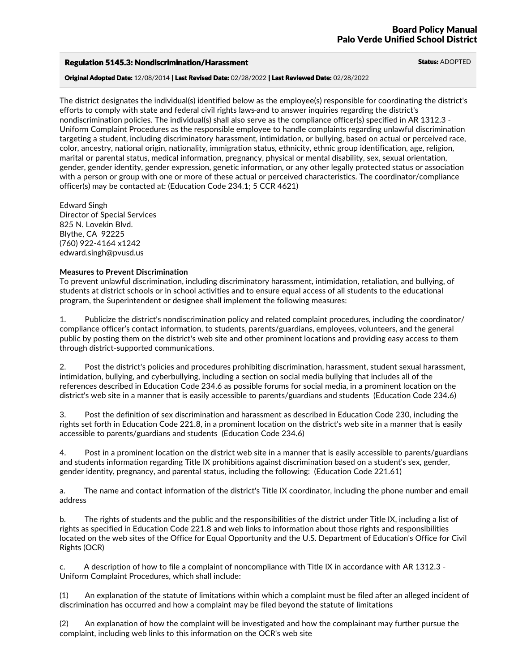## Regulation 5145.3: Nondiscrimination/Harassment Status: ADOPTED

Original Adopted Date: 12/08/2014 | Last Revised Date: 02/28/2022 | Last Reviewed Date: 02/28/2022

The district designates the individual(s) identified below as the employee(s) responsible for coordinating the district's efforts to comply with state and federal civil rights laws and to answer inquiries regarding the district's nondiscrimination policies. The individual(s) shall also serve as the compliance officer(s) specified in AR 1312.3 -<br>Uniform Complaint Procedures as the responsible employee to handle complaints regarding unlawful discrimi targeting a student, including discriminatory harassment, intimidation, or bullying, based on actual or perceived race, color, ancestry, national origin, nationality, immigration status, ethnicity, ethnic group identificat with a person or group with one or more of these actual or perceived characteristics. The coordinator/compliance officer(s) may be contacted at: (Education Code 234.1; 5 CCR 4621)

Edward Singh Director of Special Services <sup>825</sup> N. Lovekin Blvd. Blythe, CA <sup>92225</sup> (760) 922-4164 x1242 edward.singh@pvusd.us

### **Measures to Prevent Discrimination**

To prevent unlawful discrimination, including discriminatory harassment, intimidation, retaliation, and bullying, of students at district schools or in school activities and to ensure equal access of all students to the educational program, the Superintendent or designee shall implement the following measures:

1. Publicize the district's nondiscrimination policy and related complaint procedures, including the coordinator/ compliance officer's contact information, to students, parents/guardians, employees, volunteers, and the general public by posting them on the district's web site and other prominent locations and providing easy access to them through district-supported communications.

2. Post the district's policies and procedures prohibiting discrimination, harassment, student sexual harassment, intimidation, bullying, and cyberbullying, including a section on social media bullying that includes all of the references described in Education Code 234.6 as possible forums for social media, in a prominent location on the district's web site in a manner that is easily accessible to parents/guardians and students (Education Code 234.6)

3. Post the definition of sex discrimination and harassment as described in Education Code 230, including the rights set forth in Education Code 221.8, in a prominent location on the district's web site in a manner that is easily accessible to parents/guardians and students (Education Code 234.6)

4. Post in a prominent location on the district web site in a manner that is easily accessible to parents/guardians and students information regarding Title IX prohibitions against discrimination based on a student's sex, gender,<br>gender identity, pregnancy, and parental status, including the following: (Education Code 221.61)

a. The name and contact information of the district's Title IX coordinator, including the phone number and email address

b. The rights of students and the public and the responsibilities of the district under Title IX, including a list of rights as specified in Education Code 221.8 and web links to information about those rights and responsibilities located on the web sites of the Office for Equal Opportunity and the U.S. Department of Education's Office for Civil Rights (OCR)

c. A description of how to file a complaint of noncompliance with Title IX in accordance with AR 1312.3 - Uniform Complaint Procedures, which shall include:

(1) An explanation of the statute of limitations within which a complaint must be filed after an alleged incident of discrimination has occurred and how a complaint may be filed beyond the statute of limitations

(2) An explanation of how the complaint will be investigated and how the complainant may further pursue the complaint, including web links to this information on the OCR's web site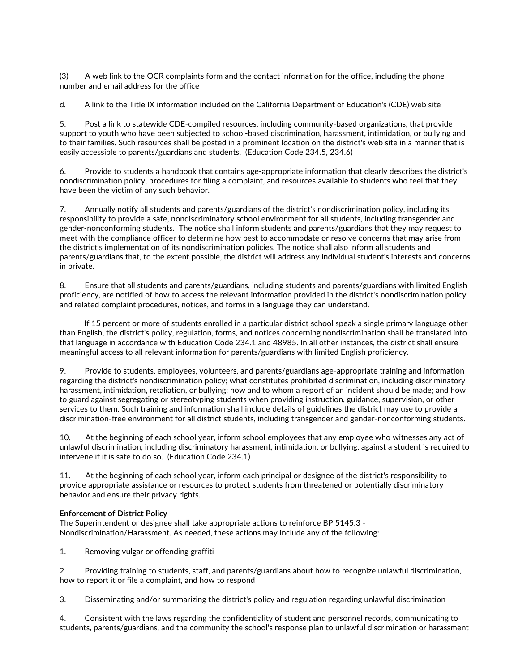(3) A web link to the OCR complaints form and the contact information for the office, including the phone number and email address for the office

d. A link to the Title IX information included on the California Department of Education's (CDE) web site

5. Post a link to statewide CDE-compiled resources, including community-based organizations, that provide support to youth who have been subjected to school-based discrimination, harassment, intimidation, or bullying and to their families. Such resources shall be posted in a prominent location on the district's web site in a manner that is easily accessible to parents/guardians and students. (Education Code 234.5, 234.6)

6. Provide to students a handbook that contains age-appropriate information that clearly describes the district's nondiscrimination policy, procedures for filing a complaint, and resources available to students who feel that they have been the victim of any such behavior.

7. Annually notify all students and parents/guardians of the district's nondiscrimination policy, including its responsibility to provide a safe, nondiscriminatory school environment for all students, including transgender and gender-nonconforming students. The notice shall inform students and parents/guardians that they may request to meet with the compliance officer to determine how best to accommodate or resolve concerns that may arise from the district's implementation of its nondiscrimination policies. The notice shall also inform all students and parents/guardians that, to the extent possible, the district will address any individual student's interests and concerns in private.

8. Ensure that all students and parents/guardians, including students and parents/guardians with limited English proficiency, are notified of how to access the relevant information provided in the district's nondiscrimination policy and related complaint procedures, notices, and forms in a language they can understand.

If 15 percent or more of students enrolled in a particular district school speak a single primary language other than English, the district's policy, regulation, forms, and notices concerning nondiscrimination shall be translated into that language in accordance with Education Code 234.1 and 48985. In all other instances, the district shall ensure meaningful access to all relevant information for parents/guardians with limited English proficiency.

9. Provide to students, employees, volunteers, and parents/guardians age-appropriate training and information regarding the district's nondiscrimination policy; what constitutes prohibited discrimination, including discriminatory harassment, intimidation, retaliation, or bullying; how and to whom a report of an incident should be made; and how to guard against segregating or stereotyping students when providing instruction, guidance, supervision, or other services to them. Such training and information shall include details of guidelines the district may use to provide a discrimination-free environment for all district students, including transgender and gender-nonconforming students.

10. At the beginning of each school year, inform school employees that any employee who witnesses any act of unlawful discrimination, including discriminatory harassment, intimidation, or bullying, against a student is required to intervene if it is safe to do so. (Education Code 234.1)

11. At the beginning of each school year, inform each principal or designee of the district's responsibility to provide appropriate assistance or resources to protect students from threatened or potentially discriminatory behavior and ensure their privacy rights.

# **Enforcement of District Policy**

The Superintendent or designee shall take appropriate actions to reinforce BP 5145.3 - Nondiscrimination/Harassment. As needed, these actions may include any of the following:

1. Removing vulgar or offending graffiti

2. Providing training to students, staff, and parents/guardians about how to recognize unlawful discrimination, how to report it or file <sup>a</sup> complaint, and how to respond

3. Disseminating and/or summarizing the district's policy and regulation regarding unlawful discrimination

4. Consistent with the laws regarding the confidentiality of student and personnel records, communicating to students, parents/guardians, and the community the school's response plan to unlawful discrimination or harassment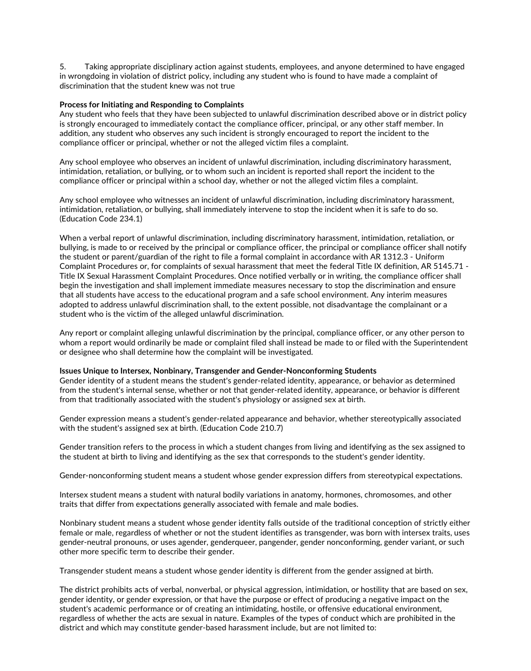5. Taking appropriate disciplinary action against students, employees, and anyone determined to have engaged in wrongdoing in violation of district policy, including any student who is found to have made a complaint of discrimination that the student knew was not true

#### **Process for Initiating and Responding to Complaints**

Any student who feels that they have been subjected to unlawful discrimination described above or in district policy is strongly encouraged to immediately contact the compliance officer, principal, or any other staff member. In addition, any student who observes any such incident is strongly encouraged to report the incident to the compliance officer or principal, whether or not the alleged victim files a complaint.

Any school employee who observes an incident of unlawful discrimination, including discriminatory harassment, intimidation, retaliation, or bullying, or to whom such an incident is reported shall report the incident to the compliance officer or principal within a school day, whether or not the alleged victim files a complaint.

Any school employee who witnesses an incident of unlawful discrimination, including discriminatory harassment, intimidation, retaliation, or bullying, shall immediately intervene to stop the incident when it is safe to do so. (Education Code 234.1)

When a verbal report of unlawful discrimination, including discriminatory harassment, intimidation, retaliation, or bullying, is made to or received by the principal or compliance officer, the principal or compliance officer shall notify the student or parent/guardian of the right to file a formal complaint in accordance with AR 1312.3 - Uniform Complaint Procedures or, for complaints of sexual harassment that meet the federal Title IX definition, AR 5145.71 -<br>Title IX Sexual Harassment Complaint Procedures. Once notified verbally or in writing, the compliance off begin the investigation and shall implement immediate measures necessary to stop the discrimination and ensure that all students have access to the educational program and a safe school environment. Any interim measures adopted to address unlawful discrimination shall, to the extent possible, not disadvantage the complainant or a student who is the victim of the alleged unlawful discrimination.

Any report or complaint alleging unlawful discrimination by the principal, compliance officer, or any other person to whom a report would ordinarily be made or complaint filed shall instead be made to or filed with the Superintendent or designee who shall determine how the complaint will be investigated.

## **Issues Unique to Intersex, Nonbinary, Transgender and Gender-Nonconforming Students**

Gender identity of a student means the student's gender-related identity, appearance, or behavior as determined from the student's internal sense, whether or not that gender-related identity, appearance, or behavior is different from that traditionally associated with the student's physiology or assigned sex at birth.

Gender expression means a student's gender-related appearance and behavior, whether stereotypically associated with the student's assigned sex at birth. (Education Code 210.7)

Gender transition refers to the process in which a student changes from living and identifying as the sex assigned to the student at birth to living and identifying as the sex that corresponds to the student's gender identity.

Gender-nonconforming student means a student whose gender expression differs from stereotypical expectations.

Intersex student means a student with natural bodily variations in anatomy, hormones, chromosomes, and other traits that differ from expectations generally associated with female and male bodies.

Nonbinary student means a student whose gender identity falls outside of the traditional conception of strictly either female or male, regardless of whether or not the student identifies as transgender, was born with intersex traits, uses gender-neutral pronouns, or uses agender, genderqueer, pangender, gender nonconforming, gender variant, or such other more specific term to describe their gender.

Transgender student means a student whose gender identity is different from the gender assigned at birth.

The district prohibits acts of verbal, nonverbal, or physical aggression, intimidation, or hostility that are based on sex, gender identity, or gender expression, or that have the purpose or effect of producing a negative student's academic performance or of creating an intimidating, hostile, or offensive educational environment, regardless of whether the acts are sexual in nature. Examples of the types of conduct which are prohibited in the district and which may constitute gender-based harassment include, but are not limited to: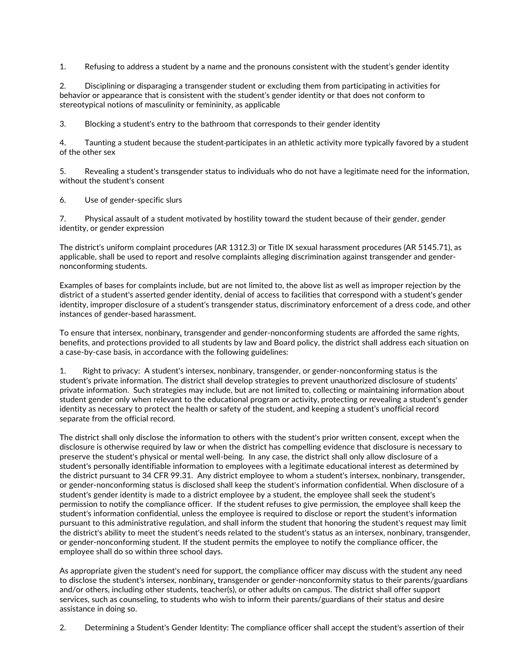1. Refusing to address a student by a name and the pronouns consistent with the student's gender identity

2. Disciplining or disparaging a transgender student or excluding them from participating in activities for behavior or appearance that is consistent with the student's gender identity or that does not conform to stereotypical notions of masculinity or femininity, as applicable

3. Blocking a student's entry to the bathroom that corresponds to their gender identity

4. Taunting a student because the student participates in an athletic activity more typically favored by a student of the other sex

5. Revealing a student's transgender status to individuals who do not have a legitimate need for the information, without the student's consent

6. Use of gender-specific slurs

7. Physical assault of a student motivated by hostility toward the student because of their gender, gender identity, or gender expression

The district's uniform complaint procedures (AR 1312.3) or Title IX sexual harassment procedures (AR 5145.71), as applicable, shall be used to report and resolve complaints alleging discrimination against transgender and gender-<br>nonconforming students.

Examples of bases for complaints include, but are not limited to, the above list as well as improper rejection by the district of a student's asserted gender identity, denial of access to facilities that correspond with a student's gender identity, improper disclosure of a student's transgender status, discriminatory enforcement of a dress code, and other instances of gender-based harassment.

To ensure that intersex, nonbinary, transgender and gender-nonconforming students are afforded the same rights,<br>benefits, and protections provided to all students by law and Board policy, the district shall address each si a case-by-case basis, in accordance with the following guidelines:

1. Right to privacy: A student's intersex, nonbinary, transgender, or gender-nonconforming status is the student's private information. The district shall develop strategies to prevent unauthorized disclosure of students' private information. Such strategies may include, but are not limited to, collecting or maintaining information about student gender only when relevant to the educational program or activity, protecting or revealing a student's gender identity as necessary to protect the health or safety of the student, and keeping a student's unofficial record separate from the official record.

The district shall only disclose the information to others with the student's prior written consent, except when the disclosure is otherwise required by law or when the district has compelling evidence that disclosure is necessary to preserve the student's physical or mental well-being. In any case, the district shall only allow disclosure of a student's personally identifiable information to employees with a legitimate educational interest as determined by the district pursuant to 34 CFR 99.31. Any district employee to whom a student's intersex, nonbinary, transgender,<br>or gender-nonconforming status is disclosed shall keep the student's information confidential. When disclos student's gender identity is made to a district employee by a student, the employee shall seek the student's permission to notify the compliance officer. If the student refuses to give permission, the employee shall keep the student's information confidential, unless the employee is required to disclose or report the student's information pursuant to this administrative regulation, and shall inform the student that honoring the student's request may limit the district's ability to meet the student's needs related to the student's status as an intersex, nonbinary, transgender,<br>or gender-nonconforming student. If the student permits the employee to notify the compliance offic employee shall do so within three school days.

As appropriate given the student's need for support, the compliance officer may discuss with the student any need to disclose the student's intersex, nonbinary*,* transgender or gender-nonconformity status to their parents/guardians and/or others, including other students, teacher(s), or other adults on campus. The district shall offer support services, such as counseling, to students who wish to inform their parents/guardians of their status and desire assistance in doing so.

2. Determining a Student's Gender Identity: The compliance officer shall accept the student's assertion of their